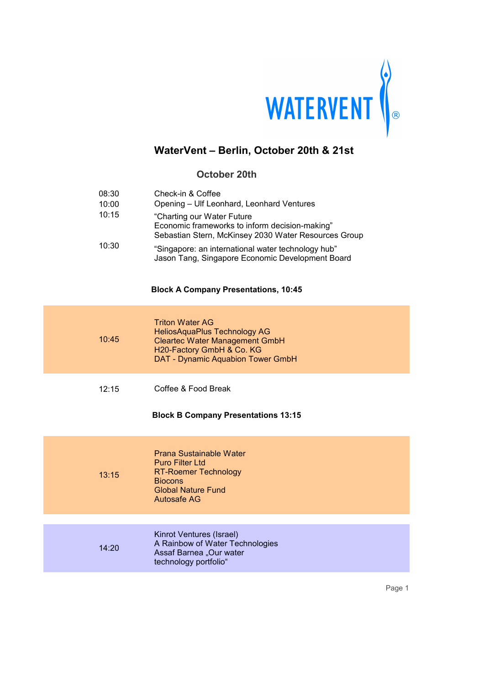

### **October 20th**

| 08:30 | Check-in & Coffee                                                                                                                     |
|-------|---------------------------------------------------------------------------------------------------------------------------------------|
| 10:00 | Opening - Ulf Leonhard, Leonhard Ventures                                                                                             |
| 10:15 | "Charting our Water Future"<br>Economic frameworks to inform decision-making"<br>Sebastian Stern, McKinsey 2030 Water Resources Group |
| 10:30 | "Singapore: an international water technology hub"<br>Jason Tang, Singapore Economic Development Board                                |

#### **Block A Company Presentations, 10:45**

| 10:45 | <b>Triton Water AG</b><br><b>HeliosAquaPlus Technology AG</b><br><b>Cleartec Water Management GmbH</b><br>H20-Factory GmbH & Co. KG<br>DAT - Dynamic Aquabion Tower GmbH |
|-------|--------------------------------------------------------------------------------------------------------------------------------------------------------------------------|
| 12:15 | Coffee & Food Break<br><b>Block B Company Presentations 13:15</b>                                                                                                        |
| 13:15 | Prana Sustainable Water<br><b>Puro Filter Ltd</b><br><b>RT-Roemer Technology</b><br><b>Biocons</b><br><b>Global Nature Fund</b><br>Autosafe AG                           |
|       |                                                                                                                                                                          |
|       | Kinrot <i>Vanturge (Iergel)</i>                                                                                                                                          |

| 14:20 | Kinrot Ventures (Israel)<br>A Rainbow of Water Technologies<br>Assaf Barnea "Our water<br>technology portfolio" |
|-------|-----------------------------------------------------------------------------------------------------------------|
|-------|-----------------------------------------------------------------------------------------------------------------|

Page 1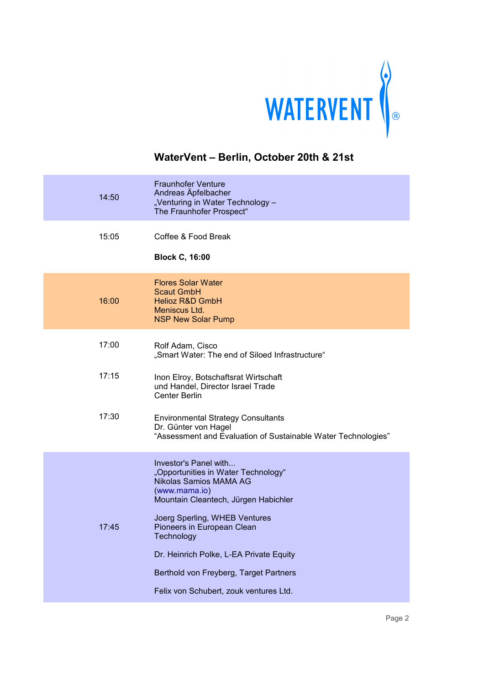

| 14:50 | <b>Fraunhofer Venture</b><br>Andreas Äpfelbacher<br>"Venturing in Water Technology -<br>The Fraunhofer Prospect"                                                                                                                                                                                                  |
|-------|-------------------------------------------------------------------------------------------------------------------------------------------------------------------------------------------------------------------------------------------------------------------------------------------------------------------|
| 15:05 | Coffee & Food Break<br><b>Block C, 16:00</b>                                                                                                                                                                                                                                                                      |
| 16:00 | <b>Flores Solar Water</b><br><b>Scaut GmbH</b><br><b>Helioz R&amp;D GmbH</b><br>Meniscus Ltd.<br><b>NSP New Solar Pump</b>                                                                                                                                                                                        |
| 17:00 | Rolf Adam, Cisco<br>"Smart Water: The end of Siloed Infrastructure"                                                                                                                                                                                                                                               |
| 17:15 | Inon Elroy, Botschaftsrat Wirtschaft<br>und Handel, Director Israel Trade<br><b>Center Berlin</b>                                                                                                                                                                                                                 |
| 17:30 | <b>Environmental Strategy Consultants</b><br>Dr. Günter von Hagel<br>"Assessment and Evaluation of Sustainable Water Technologies"                                                                                                                                                                                |
| 17:45 | Investor's Panel with<br>"Opportunities in Water Technology"<br>Nikolas Samios MAMA AG<br>(www.mama.io)<br>Mountain Cleantech, Jürgen Habichler<br>Joerg Sperling, WHEB Ventures<br>Pioneers in European Clean<br>Technology<br>Dr. Heinrich Polke, L-EA Private Equity<br>Berthold von Freyberg, Target Partners |
|       | Felix von Schubert, zouk ventures Ltd.                                                                                                                                                                                                                                                                            |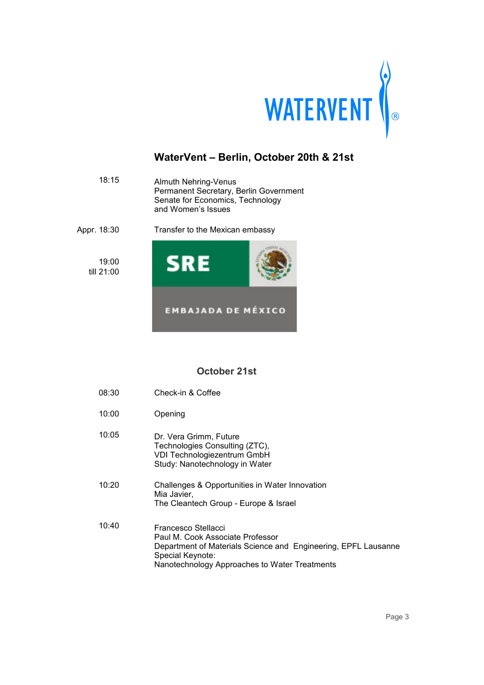

| 18:15               | <b>Almuth Nehring-Venus</b><br>Permanent Secretary, Berlin Government<br>Senate for Economics, Technology<br>and Women's Issues |  |
|---------------------|---------------------------------------------------------------------------------------------------------------------------------|--|
| Appr. 18:30         | Transfer to the Mexican embassy                                                                                                 |  |
| 19:00<br>till 21:00 | SRE                                                                                                                             |  |
|                     | <b>EMBAJADA DE MÉXICO</b>                                                                                                       |  |

### **October 21st**

| Check-in & Coffee<br>08:30 |  |
|----------------------------|--|
|----------------------------|--|

- 10:00 Opening
- 10:05 Dr. Vera Grimm, Future Technologies Consulting (ZTC), VDI Technologiezentrum GmbH Study: Nanotechnology in Water
- 10:20 Challenges & Opportunities in Water Innovation Mia Javier, The Cleantech Group - Europe & Israel
- 10:40 Francesco Stellacci Paul M. Cook Associate Professor Department of Materials Science and Engineering, EPFL Lausanne Special Keynote: Nanotechnology Approaches to Water Treatments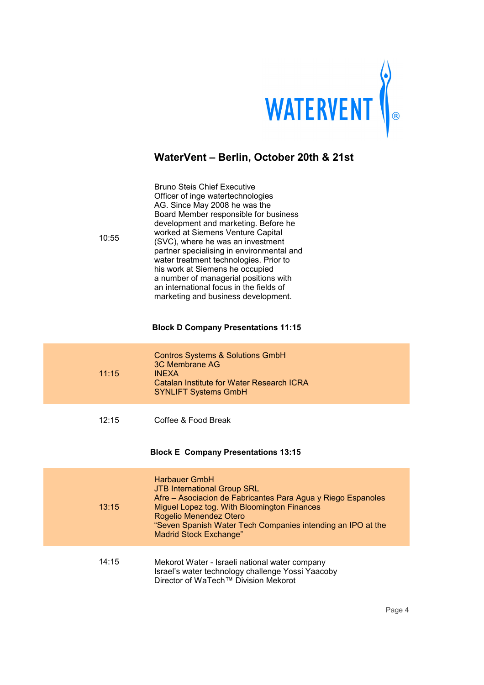

| 10:55 | <b>Bruno Steis Chief Executive</b><br>Officer of inge watertechnologies<br>AG. Since May 2008 he was the<br>Board Member responsible for business<br>development and marketing. Before he<br>worked at Siemens Venture Capital<br>(SVC), where he was an investment<br>partner specialising in environmental and<br>water treatment technologies. Prior to<br>his work at Siemens he occupied<br>a number of managerial positions with<br>an international focus in the fields of<br>marketing and business development.<br><b>Block D Company Presentations 11:15</b> |
|-------|------------------------------------------------------------------------------------------------------------------------------------------------------------------------------------------------------------------------------------------------------------------------------------------------------------------------------------------------------------------------------------------------------------------------------------------------------------------------------------------------------------------------------------------------------------------------|
| 11:15 | <b>Contros Systems &amp; Solutions GmbH</b><br><b>3C Membrane AG</b><br><b>INEXA</b><br><b>Catalan Institute for Water Research ICRA</b><br><b>SYNLIFT Systems GmbH</b>                                                                                                                                                                                                                                                                                                                                                                                                |
| 12:15 | Coffee & Food Break<br><b>Block E Company Presentations 13:15</b>                                                                                                                                                                                                                                                                                                                                                                                                                                                                                                      |
| 13:15 | <b>Harbauer GmbH</b><br><b>JTB International Group SRL</b><br>Afre - Asociacion de Fabricantes Para Agua y Riego Espanoles<br>Miguel Lopez tog. With Bloomington Finances<br>Rogelio Menendez Otero<br>"Seven Spanish Water Tech Companies intending an IPO at the<br><b>Madrid Stock Exchange"</b>                                                                                                                                                                                                                                                                    |
| 14:15 | Mekorot Water - Israeli national water company<br>Israel's water technology challenge Yossi Yaacoby<br>Director of WaTech™ Division Mekorot                                                                                                                                                                                                                                                                                                                                                                                                                            |